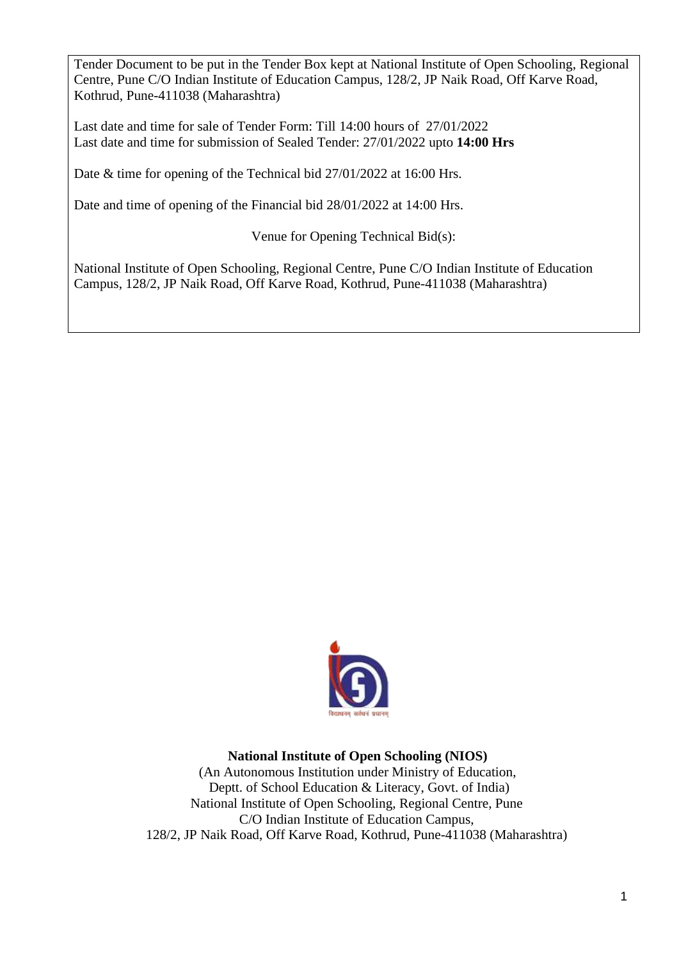Tender Document to be put in the Tender Box kept at National Institute of Open Schooling, Regional Centre, Pune C/O Indian Institute of Education Campus, 128/2, JP Naik Road, Off Karve Road, Kothrud, Pune-411038 (Maharashtra)

Last date and time for sale of Tender Form: Till 14:00 hours of 27/01/2022 Last date and time for submission of Sealed Tender: 27/01/2022 upto **14:00 Hrs** 

Date & time for opening of the Technical bid 27/01/2022 at 16:00 Hrs.

Date and time of opening of the Financial bid 28/01/2022 at 14:00 Hrs.

Venue for Opening Technical Bid(s):

National Institute of Open Schooling, Regional Centre, Pune C/O Indian Institute of Education Campus, 128/2, JP Naik Road, Off Karve Road, Kothrud, Pune-411038 (Maharashtra)



## **National Institute of Open Schooling (NIOS)**

(An Autonomous Institution under Ministry of Education, Deptt. of School Education & Literacy, Govt. of India) National Institute of Open Schooling, Regional Centre, Pune C/O Indian Institute of Education Campus, 128/2, JP Naik Road, Off Karve Road, Kothrud, Pune-411038 (Maharashtra)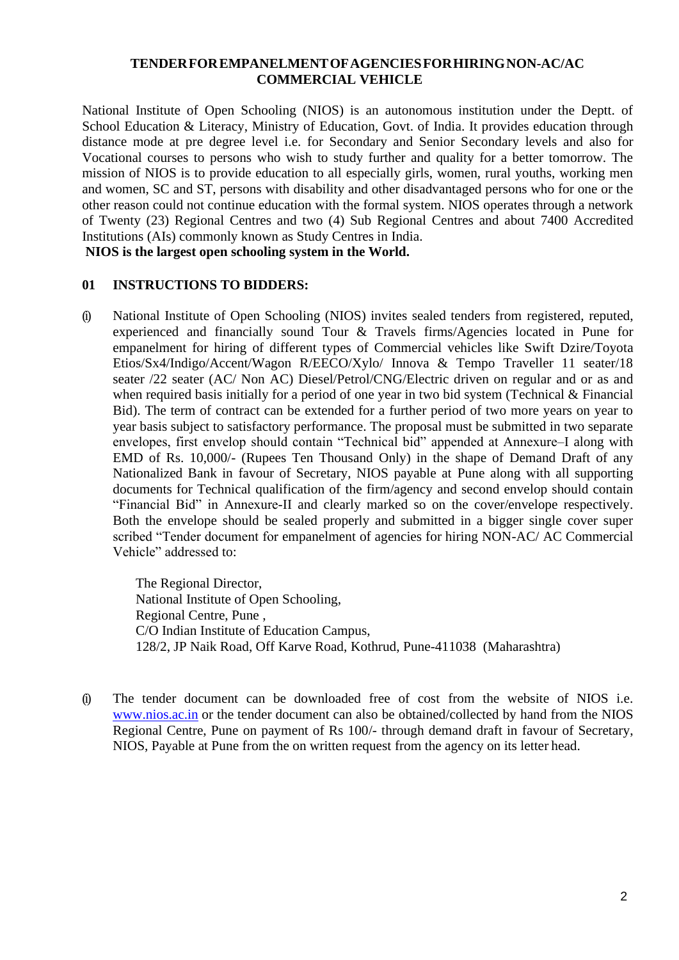#### **TENDERFOREMPANELMENTOFAGENCIESFORHIRINGNON-AC/AC COMMERCIAL VEHICLE**

National Institute of Open Schooling (NIOS) is an autonomous institution under the Deptt. of School Education & Literacy, Ministry of Education, Govt. of India. It provides education through distance mode at pre degree level i.e. for Secondary and Senior Secondary levels and also for Vocational courses to persons who wish to study further and quality for a better tomorrow. The mission of NIOS is to provide education to all especially girls, women, rural youths, working men and women, SC and ST, persons with disability and other disadvantaged persons who for one or the other reason could not continue education with the formal system. NIOS operates through a network of Twenty (23) Regional Centres and two (4) Sub Regional Centres and about 7400 Accredited Institutions (AIs) commonly known as Study Centres in India.

**NIOS is the largest open schooling system in the World.**

#### **01 INSTRUCTIONS TO BIDDERS:**

(i) National Institute of Open Schooling (NIOS) invites sealed tenders from registered, reputed, experienced and financially sound Tour & Travels firms/Agencies located in Pune for empanelment for hiring of different types of Commercial vehicles like Swift Dzire/Toyota Etios/Sx4/Indigo/Accent/Wagon R/EECO/Xylo/ Innova & Tempo Traveller 11 seater/18 seater /22 seater (AC/ Non AC) Diesel/Petrol/CNG/Electric driven on regular and or as and when required basis initially for a period of one year in two bid system (Technical & Financial Bid). The term of contract can be extended for a further period of two more years on year to year basis subject to satisfactory performance. The proposal must be submitted in two separate envelopes, first envelop should contain "Technical bid" appended at Annexure–I along with EMD of Rs. 10,000/- (Rupees Ten Thousand Only) in the shape of Demand Draft of any Nationalized Bank in favour of Secretary, NIOS payable at Pune along with all supporting documents for Technical qualification of the firm/agency and second envelop should contain "Financial Bid" in Annexure-II and clearly marked so on the cover/envelope respectively. Both the envelope should be sealed properly and submitted in a bigger single cover super scribed "Tender document for empanelment of agencies for hiring NON-AC/ AC Commercial Vehicle" addressed to:

The Regional Director, National Institute of Open Schooling, Regional Centre, Pune , C/O Indian Institute of Education Campus, 128/2, JP Naik Road, Off Karve Road, Kothrud, Pune-411038 (Maharashtra)

(i) The tender document can be downloaded free of cost from the website of NIOS i.e. [www.nios.ac.in](http://www.nios.ac.in/) or the tender document can also be obtained/collected by hand from the NIOS Regional Centre, Pune on payment of Rs 100/- through demand draft in favour of Secretary, NIOS, Payable at Pune from the on written request from the agency on its letter head.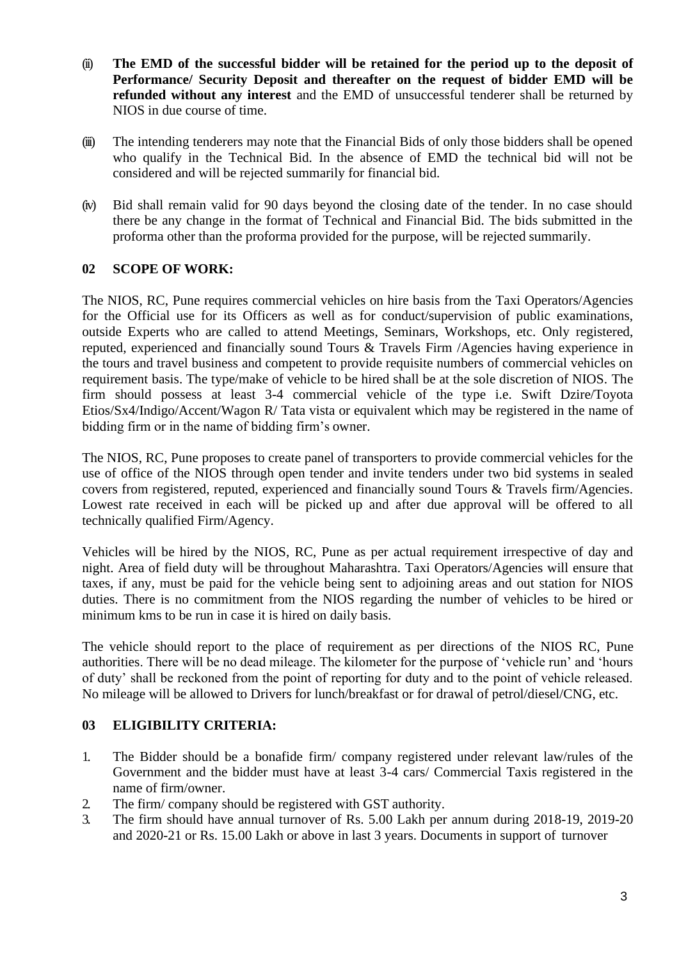- (ii) **The EMD of the successful bidder will be retained for the period up to the deposit of Performance/ Security Deposit and thereafter on the request of bidder EMD will be refunded without any interest** and the EMD of unsuccessful tenderer shall be returned by NIOS in due course of time.
- (iii) The intending tenderers may note that the Financial Bids of only those bidders shall be opened who qualify in the Technical Bid. In the absence of EMD the technical bid will not be considered and will be rejected summarily for financial bid.
- (iv) Bid shall remain valid for 90 days beyond the closing date of the tender. In no case should there be any change in the format of Technical and Financial Bid. The bids submitted in the proforma other than the proforma provided for the purpose, will be rejected summarily.

## **02 SCOPE OF WORK:**

The NIOS, RC, Pune requires commercial vehicles on hire basis from the Taxi Operators/Agencies for the Official use for its Officers as well as for conduct/supervision of public examinations, outside Experts who are called to attend Meetings, Seminars, Workshops, etc. Only registered, reputed, experienced and financially sound Tours & Travels Firm /Agencies having experience in the tours and travel business and competent to provide requisite numbers of commercial vehicles on requirement basis. The type/make of vehicle to be hired shall be at the sole discretion of NIOS. The firm should possess at least 3-4 commercial vehicle of the type i.e. Swift Dzire/Toyota Etios/Sx4/Indigo/Accent/Wagon R/ Tata vista or equivalent which may be registered in the name of bidding firm or in the name of bidding firm's owner.

The NIOS, RC, Pune proposes to create panel of transporters to provide commercial vehicles for the use of office of the NIOS through open tender and invite tenders under two bid systems in sealed covers from registered, reputed, experienced and financially sound Tours & Travels firm/Agencies. Lowest rate received in each will be picked up and after due approval will be offered to all technically qualified Firm/Agency.

Vehicles will be hired by the NIOS, RC, Pune as per actual requirement irrespective of day and night. Area of field duty will be throughout Maharashtra. Taxi Operators/Agencies will ensure that taxes, if any, must be paid for the vehicle being sent to adjoining areas and out station for NIOS duties. There is no commitment from the NIOS regarding the number of vehicles to be hired or minimum kms to be run in case it is hired on daily basis.

The vehicle should report to the place of requirement as per directions of the NIOS RC, Pune authorities. There will be no dead mileage. The kilometer for the purpose of 'vehicle run' and 'hours of duty' shall be reckoned from the point of reporting for duty and to the point of vehicle released. No mileage will be allowed to Drivers for lunch/breakfast or for drawal of petrol/diesel/CNG, etc.

#### **03 ELIGIBILITY CRITERIA:**

- 1. The Bidder should be a bonafide firm/ company registered under relevant law/rules of the Government and the bidder must have at least 3-4 cars/ Commercial Taxis registered in the name of firm/owner.
- 2. The firm/ company should be registered with GST authority.
- 3. The firm should have annual turnover of Rs. 5.00 Lakh per annum during 2018-19, 2019-20 and 2020-21 or Rs. 15.00 Lakh or above in last 3 years. Documents in support of turnover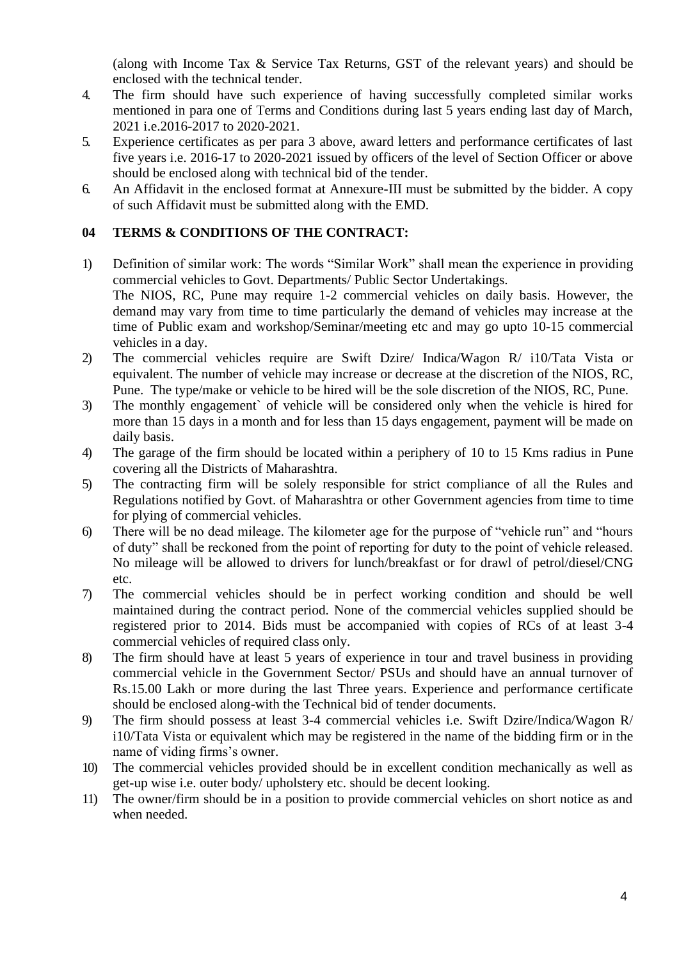(along with Income Tax & Service Tax Returns, GST of the relevant years) and should be enclosed with the technical tender.

- 4. The firm should have such experience of having successfully completed similar works mentioned in para one of Terms and Conditions during last 5 years ending last day of March, 2021 i.e.2016-2017 to 2020-2021.
- 5. Experience certificates as per para 3 above, award letters and performance certificates of last five years i.e. 2016-17 to 2020-2021 issued by officers of the level of Section Officer or above should be enclosed along with technical bid of the tender.
- 6. An Affidavit in the enclosed format at Annexure-III must be submitted by the bidder. A copy of such Affidavit must be submitted along with the EMD.

## **04 TERMS & CONDITIONS OF THE CONTRACT:**

- 1) Definition of similar work: The words "Similar Work" shall mean the experience in providing commercial vehicles to Govt. Departments/ Public Sector Undertakings. The NIOS, RC, Pune may require 1-2 commercial vehicles on daily basis. However, the demand may vary from time to time particularly the demand of vehicles may increase at the time of Public exam and workshop/Seminar/meeting etc and may go upto 10-15 commercial vehicles in a day.
- 2) The commercial vehicles require are Swift Dzire/ Indica/Wagon R/ i10/Tata Vista or equivalent. The number of vehicle may increase or decrease at the discretion of the NIOS, RC, Pune. The type/make or vehicle to be hired will be the sole discretion of the NIOS, RC, Pune.
- 3) The monthly engagement` of vehicle will be considered only when the vehicle is hired for more than 15 days in a month and for less than 15 days engagement, payment will be made on daily basis.
- 4) The garage of the firm should be located within a periphery of 10 to 15 Kms radius in Pune covering all the Districts of Maharashtra.
- 5) The contracting firm will be solely responsible for strict compliance of all the Rules and Regulations notified by Govt. of Maharashtra or other Government agencies from time to time for plying of commercial vehicles.
- 6) There will be no dead mileage. The kilometer age for the purpose of "vehicle run" and "hours of duty" shall be reckoned from the point of reporting for duty to the point of vehicle released. No mileage will be allowed to drivers for lunch/breakfast or for drawl of petrol/diesel/CNG etc.
- 7) The commercial vehicles should be in perfect working condition and should be well maintained during the contract period. None of the commercial vehicles supplied should be registered prior to 2014. Bids must be accompanied with copies of RCs of at least 3-4 commercial vehicles of required class only.
- 8) The firm should have at least 5 years of experience in tour and travel business in providing commercial vehicle in the Government Sector/ PSUs and should have an annual turnover of Rs.15.00 Lakh or more during the last Three years. Experience and performance certificate should be enclosed along-with the Technical bid of tender documents.
- 9) The firm should possess at least 3-4 commercial vehicles i.e. Swift Dzire/Indica/Wagon R/ i10/Tata Vista or equivalent which may be registered in the name of the bidding firm or in the name of viding firms's owner.
- 10) The commercial vehicles provided should be in excellent condition mechanically as well as get-up wise i.e. outer body/ upholstery etc. should be decent looking.
- 11) The owner/firm should be in a position to provide commercial vehicles on short notice as and when needed.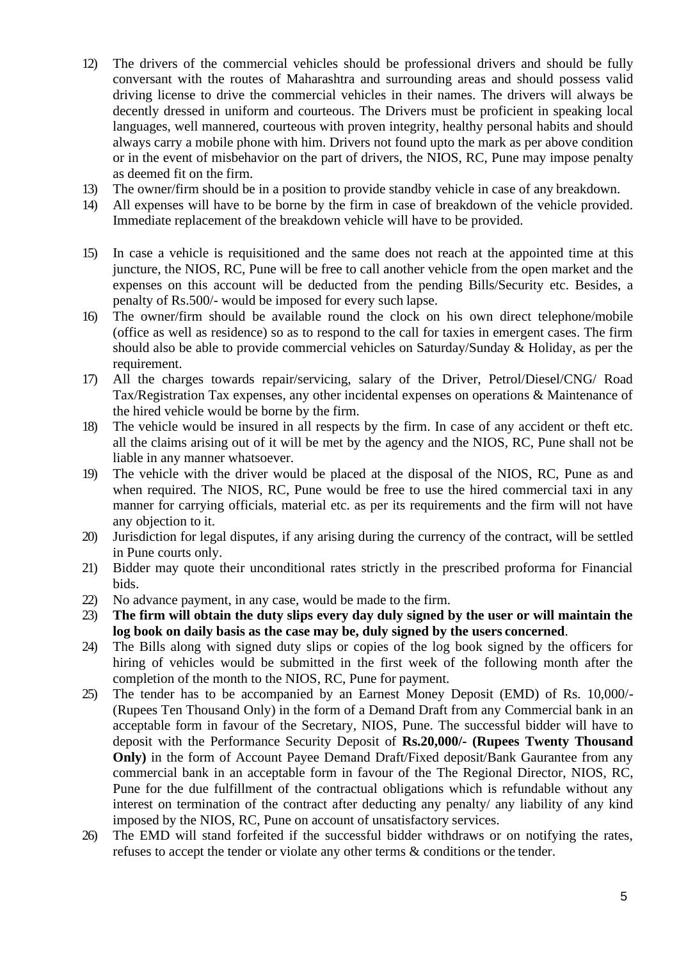- 12) The drivers of the commercial vehicles should be professional drivers and should be fully conversant with the routes of Maharashtra and surrounding areas and should possess valid driving license to drive the commercial vehicles in their names. The drivers will always be decently dressed in uniform and courteous. The Drivers must be proficient in speaking local languages, well mannered, courteous with proven integrity, healthy personal habits and should always carry a mobile phone with him. Drivers not found upto the mark as per above condition or in the event of misbehavior on the part of drivers, the NIOS, RC, Pune may impose penalty as deemed fit on the firm.
- 13) The owner/firm should be in a position to provide standby vehicle in case of any breakdown.
- 14) All expenses will have to be borne by the firm in case of breakdown of the vehicle provided. Immediate replacement of the breakdown vehicle will have to be provided.
- 15) In case a vehicle is requisitioned and the same does not reach at the appointed time at this juncture, the NIOS, RC, Pune will be free to call another vehicle from the open market and the expenses on this account will be deducted from the pending Bills/Security etc. Besides, a penalty of Rs.500/- would be imposed for every such lapse.
- 16) The owner/firm should be available round the clock on his own direct telephone/mobile (office as well as residence) so as to respond to the call for taxies in emergent cases. The firm should also be able to provide commercial vehicles on Saturday/Sunday & Holiday, as per the requirement.
- 17) All the charges towards repair/servicing, salary of the Driver, Petrol/Diesel/CNG/ Road Tax/Registration Tax expenses, any other incidental expenses on operations & Maintenance of the hired vehicle would be borne by the firm.
- 18) The vehicle would be insured in all respects by the firm. In case of any accident or theft etc. all the claims arising out of it will be met by the agency and the NIOS, RC, Pune shall not be liable in any manner whatsoever.
- 19) The vehicle with the driver would be placed at the disposal of the NIOS, RC, Pune as and when required. The NIOS, RC, Pune would be free to use the hired commercial taxi in any manner for carrying officials, material etc. as per its requirements and the firm will not have any objection to it.
- 20) Jurisdiction for legal disputes, if any arising during the currency of the contract, will be settled in Pune courts only.
- 21) Bidder may quote their unconditional rates strictly in the prescribed proforma for Financial bids.
- 22) No advance payment, in any case, would be made to the firm.
- 23) **The firm will obtain the duty slips every day duly signed by the user or will maintain the log book on daily basis as the case may be, duly signed by the users concerned**.
- 24) The Bills along with signed duty slips or copies of the log book signed by the officers for hiring of vehicles would be submitted in the first week of the following month after the completion of the month to the NIOS, RC, Pune for payment.
- 25) The tender has to be accompanied by an Earnest Money Deposit (EMD) of Rs. 10,000/- (Rupees Ten Thousand Only) in the form of a Demand Draft from any Commercial bank in an acceptable form in favour of the Secretary, NIOS, Pune. The successful bidder will have to deposit with the Performance Security Deposit of **Rs.20,000/- (Rupees Twenty Thousand Only**) in the form of Account Payee Demand Draft/Fixed deposit/Bank Gaurantee from any commercial bank in an acceptable form in favour of the The Regional Director, NIOS, RC, Pune for the due fulfillment of the contractual obligations which is refundable without any interest on termination of the contract after deducting any penalty/ any liability of any kind imposed by the NIOS, RC, Pune on account of unsatisfactory services.
- 26) The EMD will stand forfeited if the successful bidder withdraws or on notifying the rates, refuses to accept the tender or violate any other terms & conditions or the tender.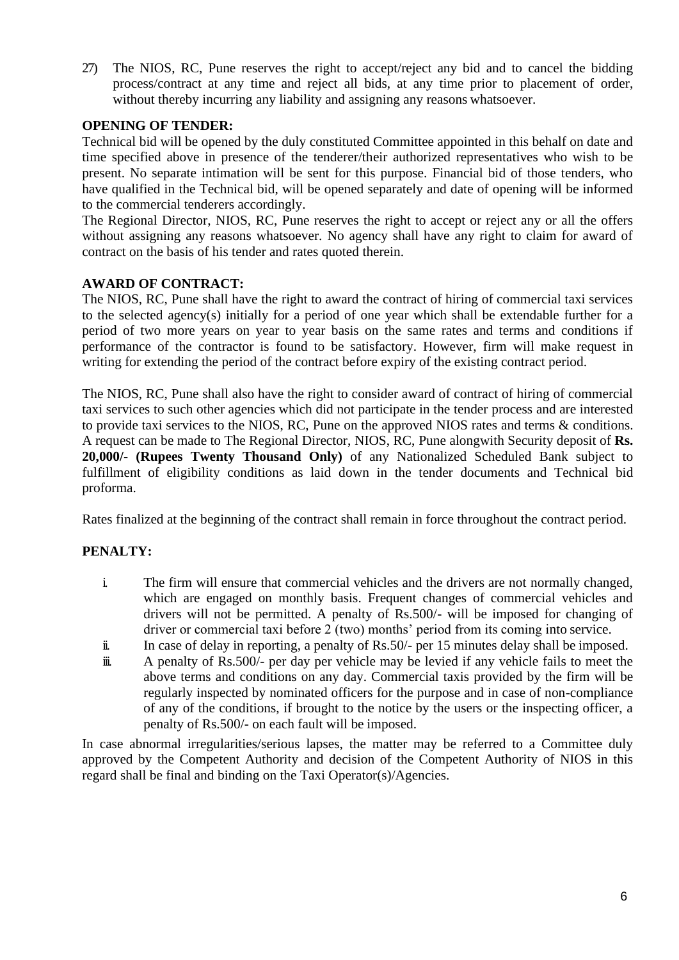27) The NIOS, RC, Pune reserves the right to accept/reject any bid and to cancel the bidding process/contract at any time and reject all bids, at any time prior to placement of order, without thereby incurring any liability and assigning any reasons whatsoever.

## **OPENING OF TENDER:**

Technical bid will be opened by the duly constituted Committee appointed in this behalf on date and time specified above in presence of the tenderer/their authorized representatives who wish to be present. No separate intimation will be sent for this purpose. Financial bid of those tenders, who have qualified in the Technical bid, will be opened separately and date of opening will be informed to the commercial tenderers accordingly.

The Regional Director, NIOS, RC, Pune reserves the right to accept or reject any or all the offers without assigning any reasons whatsoever. No agency shall have any right to claim for award of contract on the basis of his tender and rates quoted therein.

#### **AWARD OF CONTRACT:**

The NIOS, RC, Pune shall have the right to award the contract of hiring of commercial taxi services to the selected agency(s) initially for a period of one year which shall be extendable further for a period of two more years on year to year basis on the same rates and terms and conditions if performance of the contractor is found to be satisfactory. However, firm will make request in writing for extending the period of the contract before expiry of the existing contract period.

The NIOS, RC, Pune shall also have the right to consider award of contract of hiring of commercial taxi services to such other agencies which did not participate in the tender process and are interested to provide taxi services to the NIOS, RC, Pune on the approved NIOS rates and terms & conditions. A request can be made to The Regional Director, NIOS, RC, Pune alongwith Security deposit of **Rs. 20,000/- (Rupees Twenty Thousand Only)** of any Nationalized Scheduled Bank subject to fulfillment of eligibility conditions as laid down in the tender documents and Technical bid proforma.

Rates finalized at the beginning of the contract shall remain in force throughout the contract period.

## **PENALTY:**

- i. The firm will ensure that commercial vehicles and the drivers are not normally changed, which are engaged on monthly basis. Frequent changes of commercial vehicles and drivers will not be permitted. A penalty of Rs.500/- will be imposed for changing of driver or commercial taxi before 2 (two) months' period from its coming into service.
- ii. In case of delay in reporting, a penalty of Rs.50/- per 15 minutes delay shall be imposed.
- iii. A penalty of Rs.500/- per day per vehicle may be levied if any vehicle fails to meet the above terms and conditions on any day. Commercial taxis provided by the firm will be regularly inspected by nominated officers for the purpose and in case of non-compliance of any of the conditions, if brought to the notice by the users or the inspecting officer, a penalty of Rs.500/- on each fault will be imposed.

In case abnormal irregularities/serious lapses, the matter may be referred to a Committee duly approved by the Competent Authority and decision of the Competent Authority of NIOS in this regard shall be final and binding on the Taxi Operator(s)/Agencies.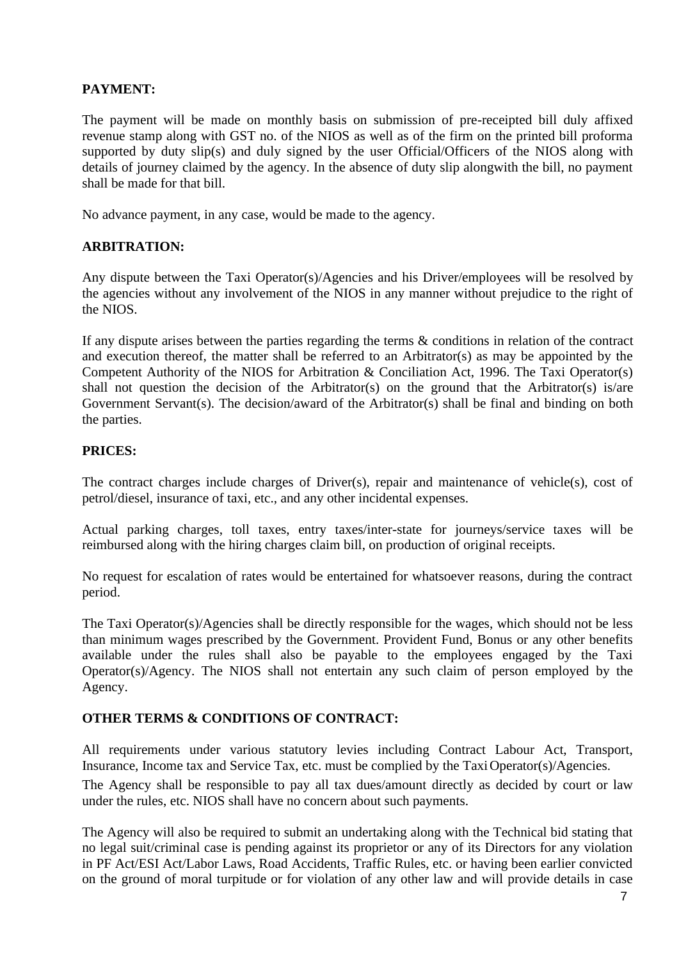## **PAYMENT:**

The payment will be made on monthly basis on submission of pre-receipted bill duly affixed revenue stamp along with GST no. of the NIOS as well as of the firm on the printed bill proforma supported by duty slip(s) and duly signed by the user Official/Officers of the NIOS along with details of journey claimed by the agency. In the absence of duty slip alongwith the bill, no payment shall be made for that bill.

No advance payment, in any case, would be made to the agency.

#### **ARBITRATION:**

Any dispute between the Taxi Operator(s)/Agencies and his Driver/employees will be resolved by the agencies without any involvement of the NIOS in any manner without prejudice to the right of the NIOS.

If any dispute arises between the parties regarding the terms & conditions in relation of the contract and execution thereof, the matter shall be referred to an Arbitrator(s) as may be appointed by the Competent Authority of the NIOS for Arbitration & Conciliation Act, 1996. The Taxi Operator(s) shall not question the decision of the Arbitrator(s) on the ground that the Arbitrator(s) is/are Government Servant(s). The decision/award of the Arbitrator(s) shall be final and binding on both the parties.

#### **PRICES:**

The contract charges include charges of Driver(s), repair and maintenance of vehicle(s), cost of petrol/diesel, insurance of taxi, etc., and any other incidental expenses.

Actual parking charges, toll taxes, entry taxes/inter-state for journeys/service taxes will be reimbursed along with the hiring charges claim bill, on production of original receipts.

No request for escalation of rates would be entertained for whatsoever reasons, during the contract period.

The Taxi Operator(s)/Agencies shall be directly responsible for the wages, which should not be less than minimum wages prescribed by the Government. Provident Fund, Bonus or any other benefits available under the rules shall also be payable to the employees engaged by the Taxi Operator(s)/Agency. The NIOS shall not entertain any such claim of person employed by the Agency.

#### **OTHER TERMS & CONDITIONS OF CONTRACT:**

All requirements under various statutory levies including Contract Labour Act, Transport, Insurance, Income tax and Service Tax, etc. must be complied by the TaxiOperator(s)/Agencies.

The Agency shall be responsible to pay all tax dues/amount directly as decided by court or law under the rules, etc. NIOS shall have no concern about such payments.

The Agency will also be required to submit an undertaking along with the Technical bid stating that no legal suit/criminal case is pending against its proprietor or any of its Directors for any violation in PF Act/ESI Act/Labor Laws, Road Accidents, Traffic Rules, etc. or having been earlier convicted on the ground of moral turpitude or for violation of any other law and will provide details in case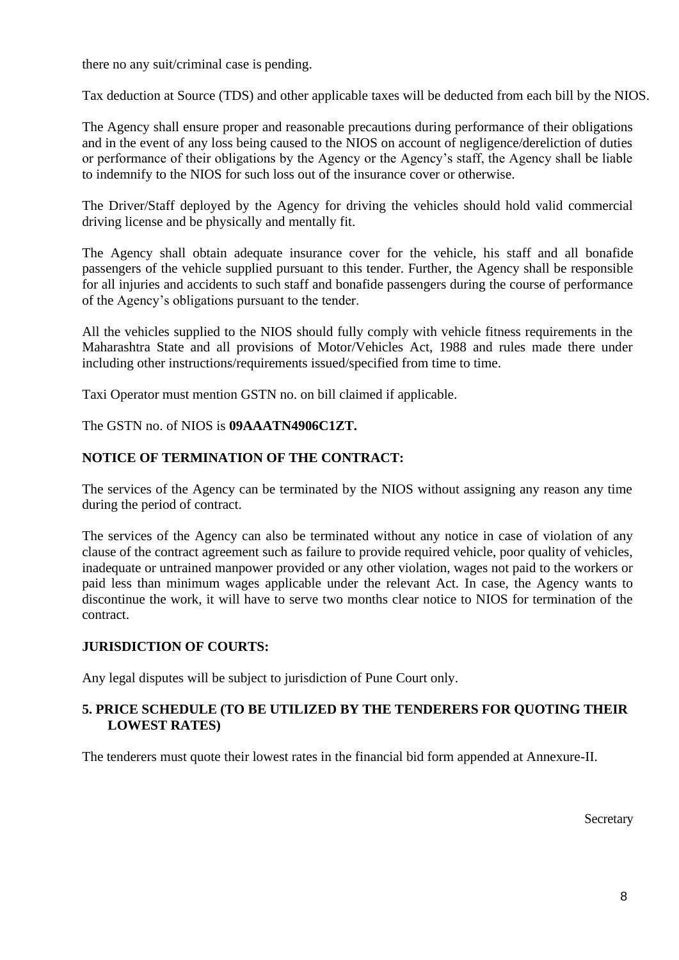there no any suit/criminal case is pending.

Tax deduction at Source (TDS) and other applicable taxes will be deducted from each bill by the NIOS.

The Agency shall ensure proper and reasonable precautions during performance of their obligations and in the event of any loss being caused to the NIOS on account of negligence/dereliction of duties or performance of their obligations by the Agency or the Agency's staff, the Agency shall be liable to indemnify to the NIOS for such loss out of the insurance cover or otherwise.

The Driver/Staff deployed by the Agency for driving the vehicles should hold valid commercial driving license and be physically and mentally fit.

The Agency shall obtain adequate insurance cover for the vehicle, his staff and all bonafide passengers of the vehicle supplied pursuant to this tender. Further, the Agency shall be responsible for all injuries and accidents to such staff and bonafide passengers during the course of performance of the Agency's obligations pursuant to the tender.

All the vehicles supplied to the NIOS should fully comply with vehicle fitness requirements in the Maharashtra State and all provisions of Motor/Vehicles Act, 1988 and rules made there under including other instructions/requirements issued/specified from time to time.

Taxi Operator must mention GSTN no. on bill claimed if applicable.

#### The GSTN no. of NIOS is **09AAATN4906C1ZT.**

## **NOTICE OF TERMINATION OF THE CONTRACT:**

The services of the Agency can be terminated by the NIOS without assigning any reason any time during the period of contract.

The services of the Agency can also be terminated without any notice in case of violation of any clause of the contract agreement such as failure to provide required vehicle, poor quality of vehicles, inadequate or untrained manpower provided or any other violation, wages not paid to the workers or paid less than minimum wages applicable under the relevant Act. In case, the Agency wants to discontinue the work, it will have to serve two months clear notice to NIOS for termination of the contract.

#### **JURISDICTION OF COURTS:**

Any legal disputes will be subject to jurisdiction of Pune Court only.

## **5. PRICE SCHEDULE (TO BE UTILIZED BY THE TENDERERS FOR QUOTING THEIR LOWEST RATES)**

The tenderers must quote their lowest rates in the financial bid form appended at Annexure-II.

**Secretary**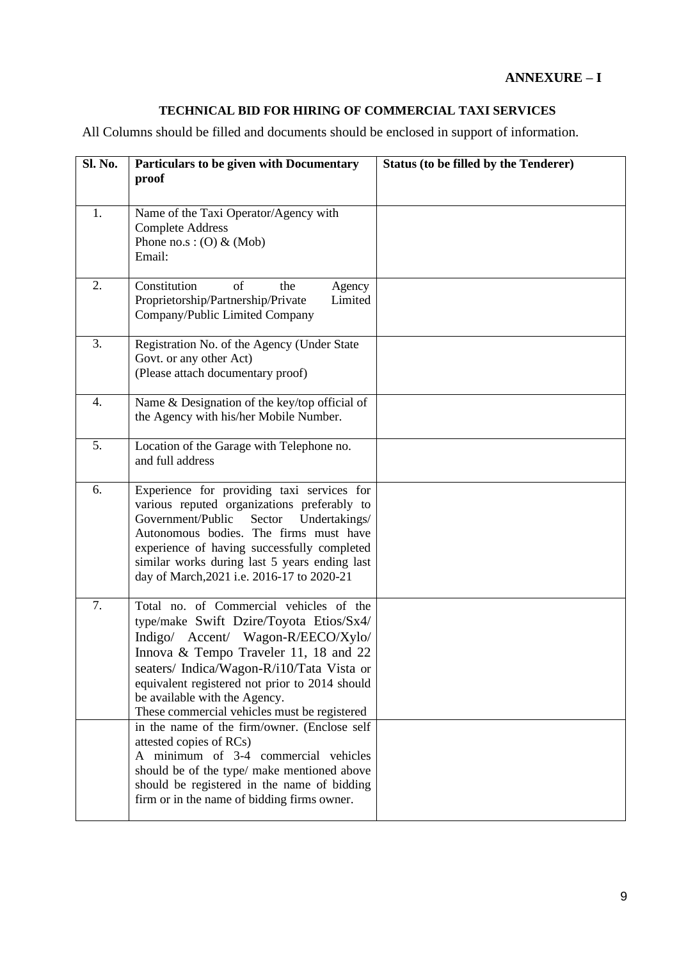# **ANNEXURE – I**

# **TECHNICAL BID FOR HIRING OF COMMERCIAL TAXI SERVICES**

All Columns should be filled and documents should be enclosed in support of information.

| Sl. No. | Particulars to be given with Documentary<br>proof                                                                                                                                                                                                                                                                                                 | <b>Status (to be filled by the Tenderer)</b> |
|---------|---------------------------------------------------------------------------------------------------------------------------------------------------------------------------------------------------------------------------------------------------------------------------------------------------------------------------------------------------|----------------------------------------------|
| 1.      | Name of the Taxi Operator/Agency with<br><b>Complete Address</b><br>Phone no.s: $(O)$ & (Mob)<br>Email:                                                                                                                                                                                                                                           |                                              |
| 2.      | Constitution<br>of<br>the<br>Agency<br>Proprietorship/Partnership/Private<br>Limited<br>Company/Public Limited Company                                                                                                                                                                                                                            |                                              |
| 3.      | Registration No. of the Agency (Under State<br>Govt. or any other Act)<br>(Please attach documentary proof)                                                                                                                                                                                                                                       |                                              |
| 4.      | Name & Designation of the key/top official of<br>the Agency with his/her Mobile Number.                                                                                                                                                                                                                                                           |                                              |
| 5.      | Location of the Garage with Telephone no.<br>and full address                                                                                                                                                                                                                                                                                     |                                              |
| 6.      | Experience for providing taxi services for<br>various reputed organizations preferably to<br>Government/Public<br>Sector<br>Undertakings/<br>Autonomous bodies. The firms must have<br>experience of having successfully completed<br>similar works during last 5 years ending last<br>day of March, 2021 i.e. 2016-17 to 2020-21                 |                                              |
| 7.      | Total no. of Commercial vehicles of the<br>type/make Swift Dzire/Toyota Etios/Sx4/<br>Indigo/ Accent/ Wagon-R/EECO/Xylo/<br>Innova & Tempo Traveler 11, 18 and 22<br>seaters/ Indica/Wagon-R/i10/Tata Vista or<br>equivalent registered not prior to 2014 should<br>be available with the Agency.<br>These commercial vehicles must be registered |                                              |
|         | in the name of the firm/owner. (Enclose self<br>attested copies of RCs)<br>A minimum of 3-4 commercial vehicles<br>should be of the type/ make mentioned above<br>should be registered in the name of bidding<br>firm or in the name of bidding firms owner.                                                                                      |                                              |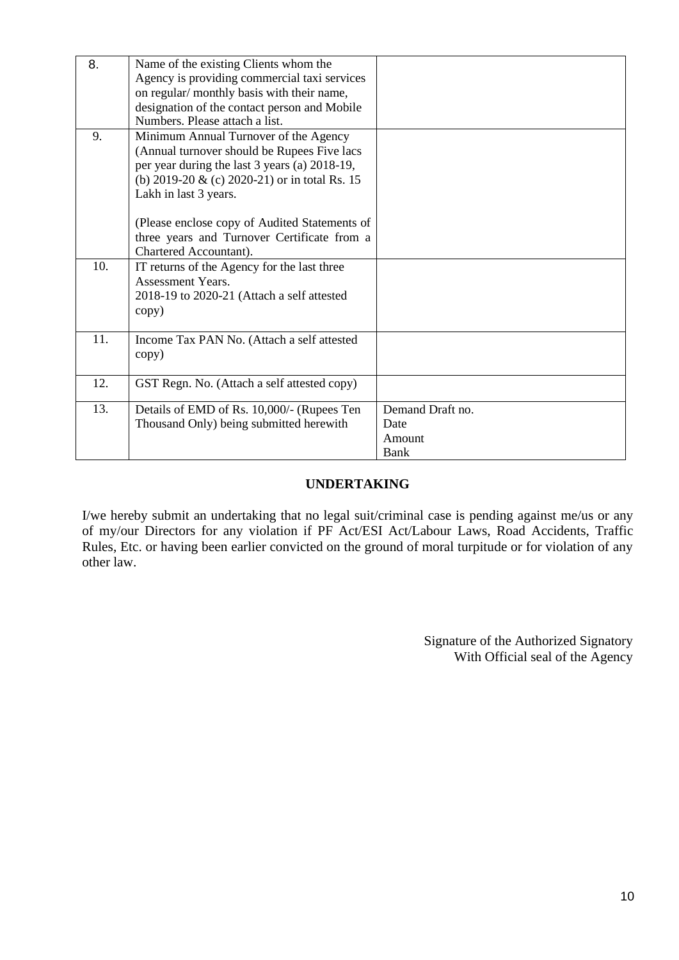| 8.  | Name of the existing Clients whom the         |                  |
|-----|-----------------------------------------------|------------------|
|     | Agency is providing commercial taxi services  |                  |
|     | on regular/ monthly basis with their name,    |                  |
|     | designation of the contact person and Mobile  |                  |
|     | Numbers. Please attach a list.                |                  |
| 9.  | Minimum Annual Turnover of the Agency         |                  |
|     | (Annual turnover should be Rupees Five lacs   |                  |
|     | per year during the last 3 years (a) 2018-19, |                  |
|     | (b) 2019-20 & (c) 2020-21) or in total Rs. 15 |                  |
|     | Lakh in last 3 years.                         |                  |
|     |                                               |                  |
|     | (Please enclose copy of Audited Statements of |                  |
|     | three years and Turnover Certificate from a   |                  |
|     | Chartered Accountant).                        |                  |
| 10. | IT returns of the Agency for the last three   |                  |
|     | Assessment Years.                             |                  |
|     | 2018-19 to 2020-21 (Attach a self attested    |                  |
|     | copy)                                         |                  |
|     |                                               |                  |
| 11. | Income Tax PAN No. (Attach a self attested    |                  |
|     | copy)                                         |                  |
|     |                                               |                  |
| 12. | GST Regn. No. (Attach a self attested copy)   |                  |
|     |                                               |                  |
| 13. | Details of EMD of Rs. 10,000/- (Rupees Ten    | Demand Draft no. |
|     | Thousand Only) being submitted herewith       | Date             |
|     |                                               | Amount           |
|     |                                               | Bank             |

#### **UNDERTAKING**

I/we hereby submit an undertaking that no legal suit/criminal case is pending against me/us or any of my/our Directors for any violation if PF Act/ESI Act/Labour Laws, Road Accidents, Traffic Rules, Etc. or having been earlier convicted on the ground of moral turpitude or for violation of any other law.

> Signature of the Authorized Signatory With Official seal of the Agency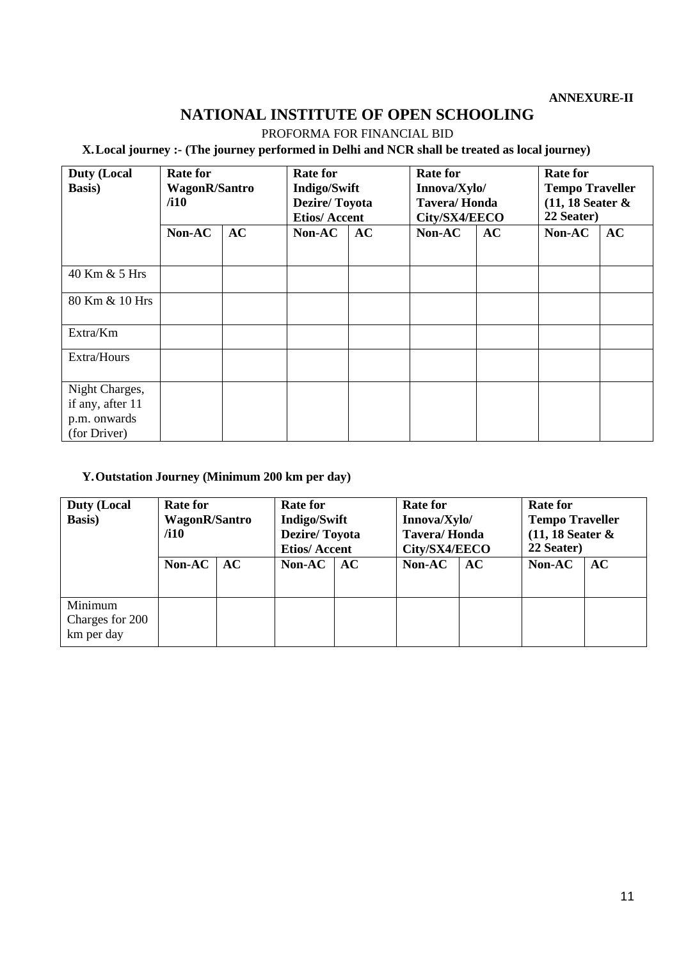#### **ANNEXURE-II**

# **NATIONAL INSTITUTE OF OPEN SCHOOLING**

PROFORMA FOR FINANCIAL BID

## **X.Local journey :- (The journey performed in Delhi and NCR shall be treated as local journey)**

| <b>Duty (Local</b><br><b>Basis</b> )                               | <b>Rate for</b><br><b>WagonR/Santro</b><br>/110 |    | <b>Rate for</b><br><b>Indigo/Swift</b><br><b>Dezire/Toyota</b><br><b>Etios/Accent</b> |    | <b>Rate for</b><br>Innova/Xylo/<br><b>Tavera/Honda</b><br>City/SX4/EECO |    | <b>Rate for</b><br><b>Tempo Traveller</b><br>$(11, 18$ Seater &<br>22 Seater) |    |
|--------------------------------------------------------------------|-------------------------------------------------|----|---------------------------------------------------------------------------------------|----|-------------------------------------------------------------------------|----|-------------------------------------------------------------------------------|----|
|                                                                    | Non-AC                                          | AC | Non-AC                                                                                | AC | Non-AC                                                                  | AC | Non-AC                                                                        | AC |
| 40 Km & 5 Hrs                                                      |                                                 |    |                                                                                       |    |                                                                         |    |                                                                               |    |
| 80 Km & 10 Hrs                                                     |                                                 |    |                                                                                       |    |                                                                         |    |                                                                               |    |
| Extra/Km                                                           |                                                 |    |                                                                                       |    |                                                                         |    |                                                                               |    |
| Extra/Hours                                                        |                                                 |    |                                                                                       |    |                                                                         |    |                                                                               |    |
| Night Charges,<br>if any, after 11<br>p.m. onwards<br>(for Driver) |                                                 |    |                                                                                       |    |                                                                         |    |                                                                               |    |

## **Y.Outstation Journey (Minimum 200 km per day)**

| <b>Duty (Local</b><br><b>Basis</b> )     | <b>Rate for</b><br>WagonR/Santro<br>/110 |    | <b>Rate for</b><br><b>Indigo/Swift</b><br><b>Dezire/Toyota</b><br><b>Etios/Accent</b> |    | <b>Rate for</b><br>Innova/Xylo/<br><b>Tavera/Honda</b><br>City/SX4/EECO |    | <b>Rate for</b><br><b>Tempo Traveller</b><br>$(11, 18$ Seater &<br>22 Seater) |    |
|------------------------------------------|------------------------------------------|----|---------------------------------------------------------------------------------------|----|-------------------------------------------------------------------------|----|-------------------------------------------------------------------------------|----|
|                                          | Non-AC $ $                               | AC | Non-AC                                                                                | AC | Non-AC                                                                  | AC | Non-AC                                                                        | AC |
| Minimum<br>Charges for 200<br>km per day |                                          |    |                                                                                       |    |                                                                         |    |                                                                               |    |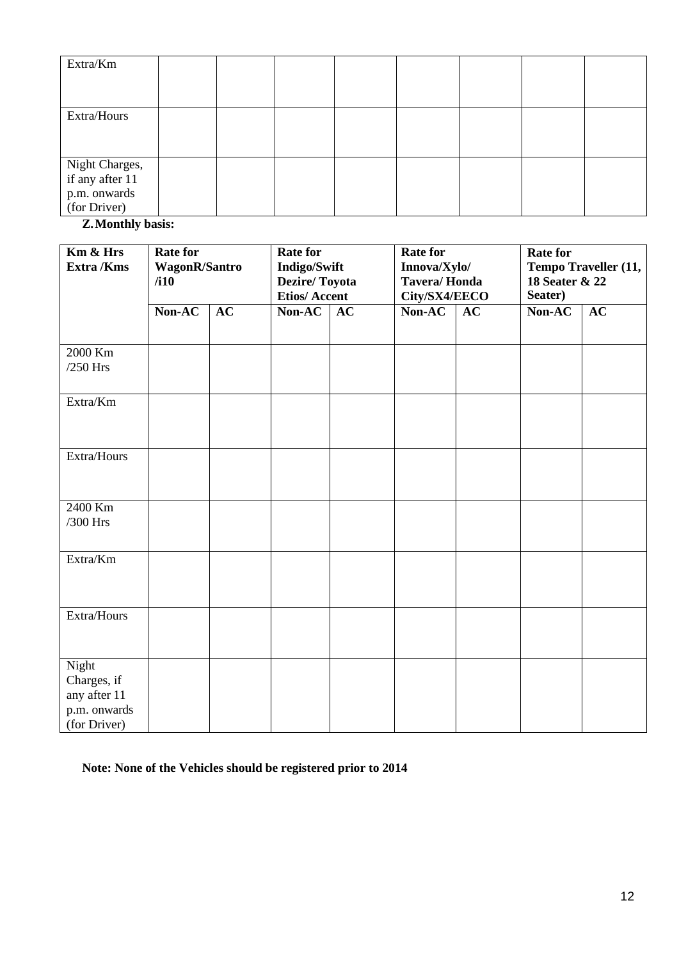| Extra/Km                                                          |  |  |  |  |
|-------------------------------------------------------------------|--|--|--|--|
| Extra/Hours                                                       |  |  |  |  |
| Night Charges,<br>if any after 11<br>p.m. onwards<br>(for Driver) |  |  |  |  |

**Z.Monthly basis:**

| Km & Hrs<br>Extra /Kms                                               | <b>Rate for</b><br>WagonR/Santro<br>/110 |    | <b>Rate for</b><br><b>Indigo/Swift</b><br><b>Dezire/Toyota</b><br><b>Etios/Accent</b> |    | <b>Rate for</b><br>Innova/Xylo/<br><b>Tavera/Honda</b><br>City/SX4/EECO |    | <b>Rate for</b><br>Tempo Traveller (11,<br>18 Seater & 22<br>Seater) |    |
|----------------------------------------------------------------------|------------------------------------------|----|---------------------------------------------------------------------------------------|----|-------------------------------------------------------------------------|----|----------------------------------------------------------------------|----|
|                                                                      | Non-AC                                   | AC | Non-AC                                                                                | AC | Non-AC                                                                  | AC | Non-AC                                                               | AC |
| 2000 Km<br>$/250$ Hrs                                                |                                          |    |                                                                                       |    |                                                                         |    |                                                                      |    |
| Extra/Km                                                             |                                          |    |                                                                                       |    |                                                                         |    |                                                                      |    |
| Extra/Hours                                                          |                                          |    |                                                                                       |    |                                                                         |    |                                                                      |    |
| 2400 Km<br>/300 Hrs                                                  |                                          |    |                                                                                       |    |                                                                         |    |                                                                      |    |
| Extra/Km                                                             |                                          |    |                                                                                       |    |                                                                         |    |                                                                      |    |
| Extra/Hours                                                          |                                          |    |                                                                                       |    |                                                                         |    |                                                                      |    |
| Night<br>Charges, if<br>any after 11<br>p.m. onwards<br>(for Driver) |                                          |    |                                                                                       |    |                                                                         |    |                                                                      |    |

**Note: None of the Vehicles should be registered prior to 2014**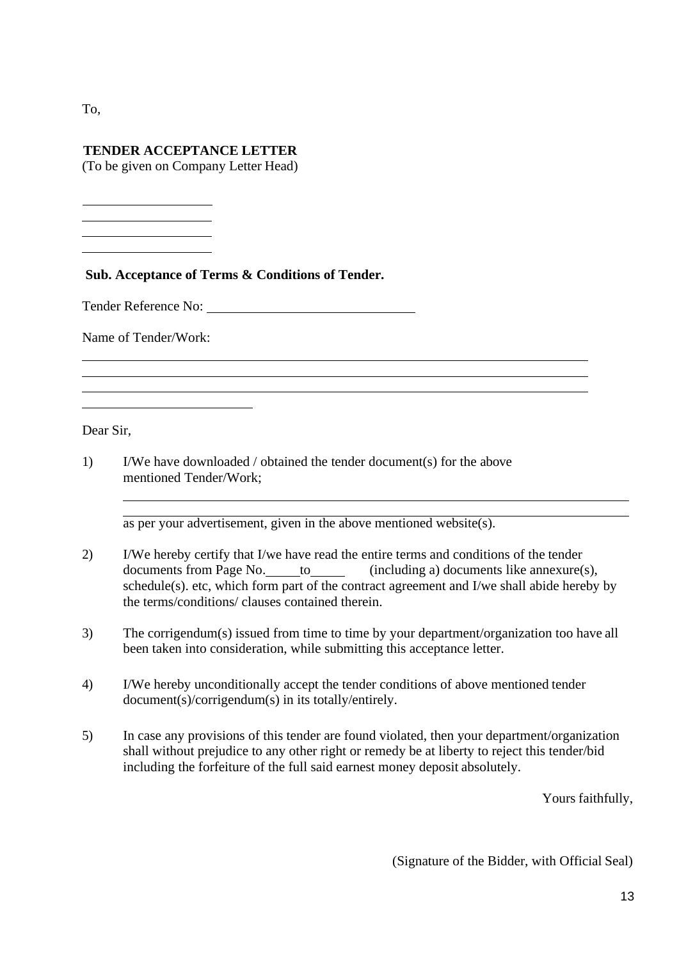To,

## **TENDER ACCEPTANCE LETTER**

(To be given on Company Letter Head)

## **Sub. Acceptance of Terms & Conditions of Tender.**

Tender Reference No:

Name of Tender/Work:

Dear Sir,

1) I/We have downloaded / obtained the tender document(s) for the above mentioned Tender/Work;

as per your advertisement, given in the above mentioned website(s).

- 2) I/We hereby certify that I/we have read the entire terms and conditions of the tender documents from Page No. to the (including a) documents like annexure(s), schedule(s). etc, which form part of the contract agreement and I/we shall abide hereby by the terms/conditions/ clauses contained therein.
- 3) The corrigendum(s) issued from time to time by your department/organization too have all been taken into consideration, while submitting this acceptance letter.
- 4) I/We hereby unconditionally accept the tender conditions of above mentioned tender document(s)/corrigendum(s) in its totally/entirely.
- 5) In case any provisions of this tender are found violated, then your department/organization shall without prejudice to any other right or remedy be at liberty to reject this tender/bid including the forfeiture of the full said earnest money deposit absolutely.

Yours faithfully,

(Signature of the Bidder, with Official Seal)